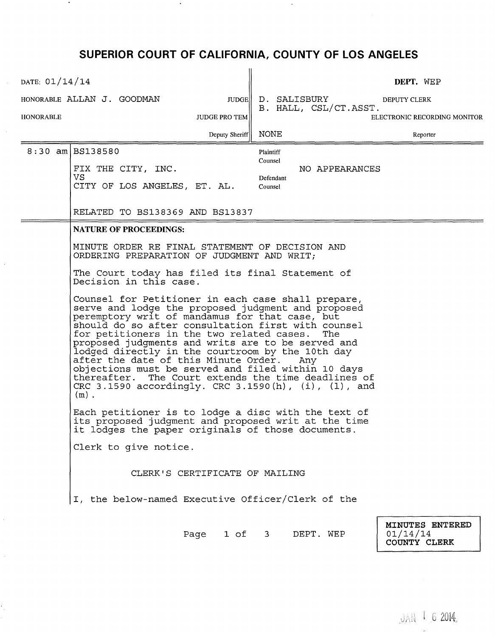## **SUPERIOR COURT OF CALIFORNIA, COUNTY OF LOS ANGELES**

 $\bullet$ 

 $\bullet$ 

 $\bar{\beta}$ 

 $\bar{\gamma}$ 

 $\sim$ 

ł,

| DATE: 01/14/14                           |                                                                                                                                                                                                                                                                                                                                                                                                                                                                                                                                                                                                                                                                                                                                                                                                                                                                                                                                                                                                                                     |                                                                | DEPT. WEP                                   |  |  |  |
|------------------------------------------|-------------------------------------------------------------------------------------------------------------------------------------------------------------------------------------------------------------------------------------------------------------------------------------------------------------------------------------------------------------------------------------------------------------------------------------------------------------------------------------------------------------------------------------------------------------------------------------------------------------------------------------------------------------------------------------------------------------------------------------------------------------------------------------------------------------------------------------------------------------------------------------------------------------------------------------------------------------------------------------------------------------------------------------|----------------------------------------------------------------|---------------------------------------------|--|--|--|
|                                          | HONORABLE ALLAN J. GOODMAN<br>JUDGE                                                                                                                                                                                                                                                                                                                                                                                                                                                                                                                                                                                                                                                                                                                                                                                                                                                                                                                                                                                                 | D. SALISBURY<br>B. HALL, CSL/CT.ASST.                          | DEPUTY CLERK                                |  |  |  |
| <b>HONORABLE</b><br><b>JUDGE PRO TEM</b> |                                                                                                                                                                                                                                                                                                                                                                                                                                                                                                                                                                                                                                                                                                                                                                                                                                                                                                                                                                                                                                     |                                                                | ELECTRONIC RECORDING MONITOR                |  |  |  |
|                                          | Deputy Sheriff   NONE                                                                                                                                                                                                                                                                                                                                                                                                                                                                                                                                                                                                                                                                                                                                                                                                                                                                                                                                                                                                               |                                                                | Reporter                                    |  |  |  |
|                                          | 8:30 am   BS138580<br>FIX THE CITY, INC.<br>VS<br>CITY OF LOS ANGELES, ET. AL.                                                                                                                                                                                                                                                                                                                                                                                                                                                                                                                                                                                                                                                                                                                                                                                                                                                                                                                                                      | Plaintiff<br>Counsel<br>NO APPEARANCES<br>Defendant<br>Counsel |                                             |  |  |  |
|                                          | RELATED TO BS138369 AND BS13837                                                                                                                                                                                                                                                                                                                                                                                                                                                                                                                                                                                                                                                                                                                                                                                                                                                                                                                                                                                                     |                                                                |                                             |  |  |  |
|                                          | <b>NATURE OF PROCEEDINGS:</b>                                                                                                                                                                                                                                                                                                                                                                                                                                                                                                                                                                                                                                                                                                                                                                                                                                                                                                                                                                                                       |                                                                |                                             |  |  |  |
|                                          | MINUTE ORDER RE FINAL STATEMENT OF DECISION AND<br>ORDERING PREPARATION OF JUDGMENT AND WRIT;<br>The Court today has filed its final Statement of<br>Decision in this case.<br>Counsel for Petitioner in each case shall prepare,<br>serve and lodge the proposed judgment and proposed<br>peremptory writ of mandamus for that case, but<br>should do so after consultation first with counsel<br>for petitioners in the two related cases.<br>The<br>proposed judgments and writs are to be served and<br>lodged directly in the courtroom by the 10th day<br>after the date of this Minute Order.<br>Any<br>objections must be served and filed within 10 days<br>thereafter. The Court extends the time deadlines of<br>CRC 3.1590 $\arccos$ accordingly. CRC 3.1590(h), (i), (l), and<br>$(m)$ .<br>Each petitioner is to lodge a disc with the text of<br>its proposed judgment and proposed writ at the time<br>it lodges the paper originals of those documents.<br>Clerk to give notice.<br>CLERK'S CERTIFICATE OF MAILING |                                                                |                                             |  |  |  |
|                                          |                                                                                                                                                                                                                                                                                                                                                                                                                                                                                                                                                                                                                                                                                                                                                                                                                                                                                                                                                                                                                                     |                                                                |                                             |  |  |  |
|                                          |                                                                                                                                                                                                                                                                                                                                                                                                                                                                                                                                                                                                                                                                                                                                                                                                                                                                                                                                                                                                                                     |                                                                |                                             |  |  |  |
|                                          |                                                                                                                                                                                                                                                                                                                                                                                                                                                                                                                                                                                                                                                                                                                                                                                                                                                                                                                                                                                                                                     |                                                                |                                             |  |  |  |
|                                          |                                                                                                                                                                                                                                                                                                                                                                                                                                                                                                                                                                                                                                                                                                                                                                                                                                                                                                                                                                                                                                     |                                                                |                                             |  |  |  |
|                                          |                                                                                                                                                                                                                                                                                                                                                                                                                                                                                                                                                                                                                                                                                                                                                                                                                                                                                                                                                                                                                                     |                                                                |                                             |  |  |  |
|                                          | I, the below-named Executive Officer/Clerk of the                                                                                                                                                                                                                                                                                                                                                                                                                                                                                                                                                                                                                                                                                                                                                                                                                                                                                                                                                                                   |                                                                |                                             |  |  |  |
|                                          | Page 1 of 3                                                                                                                                                                                                                                                                                                                                                                                                                                                                                                                                                                                                                                                                                                                                                                                                                                                                                                                                                                                                                         | DEPT. WEP                                                      | MINUTES ENTERED<br>01/14/14<br>COUNTY CLERK |  |  |  |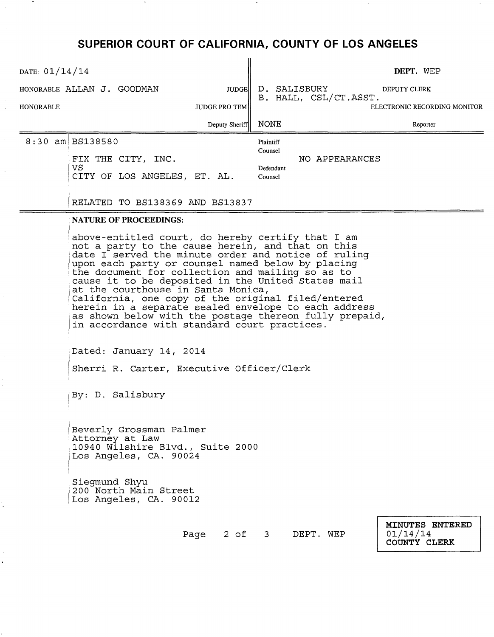## **SUPERIOR COURT OF CALIFORNIA, COUNTY OF LOS ANGELES**

 $\Delta$ 

 $\sim$   $\star$ 

Ì,

 $\ddot{\phantom{1}}$ 

| DATE: $01/14/14$              |                                                                                                                                                                                                                                                                                                                                                                                                                                                                                                                                                                                            |                                                                | DEPT. WEP                                   |  |  |  |
|-------------------------------|--------------------------------------------------------------------------------------------------------------------------------------------------------------------------------------------------------------------------------------------------------------------------------------------------------------------------------------------------------------------------------------------------------------------------------------------------------------------------------------------------------------------------------------------------------------------------------------------|----------------------------------------------------------------|---------------------------------------------|--|--|--|
|                               | HONORABLE ALLAN J. GOODMAN<br><b>JUDGE</b>                                                                                                                                                                                                                                                                                                                                                                                                                                                                                                                                                 | D. SALISBURY                                                   | <b>DEPUTY CLERK</b>                         |  |  |  |
| HONORABLE                     | <b>JUDGE PRO TEM</b>                                                                                                                                                                                                                                                                                                                                                                                                                                                                                                                                                                       | B. HALL, CSL/CT.ASST.                                          | ELECTRONIC RECORDING MONITOR                |  |  |  |
|                               | Deputy Sheriff                                                                                                                                                                                                                                                                                                                                                                                                                                                                                                                                                                             | <b>NONE</b>                                                    | Reporter                                    |  |  |  |
|                               | $8:30$ am BS138580<br>FIX THE CITY, INC.<br>VS.<br>CITY OF LOS ANGELES, ET. AL.                                                                                                                                                                                                                                                                                                                                                                                                                                                                                                            | Plaintiff<br>Counsel<br>NO APPEARANCES<br>Defendant<br>Counsel |                                             |  |  |  |
|                               | RELATED TO BS138369 AND BS13837                                                                                                                                                                                                                                                                                                                                                                                                                                                                                                                                                            |                                                                |                                             |  |  |  |
| <b>NATURE OF PROCEEDINGS:</b> |                                                                                                                                                                                                                                                                                                                                                                                                                                                                                                                                                                                            |                                                                |                                             |  |  |  |
|                               | above-entitled court, do hereby certify that I am<br>not a party to the cause herein, and that on this<br>date I served the minute order and notice of ruling<br>upon each party or counsel named below by placing<br>the document for collection and mailing so as to<br>cause it to be deposited in the United States mail<br>at the courthouse in Santa Monica,<br>California, one copy of the original filed/entered<br>herein in a separate sealed envelope to each address<br>as shown below with the postage thereon fully prepaid,<br>in accordance with standard court practices. |                                                                |                                             |  |  |  |
|                               | Dated: January 14, 2014<br>Sherri R. Carter, Executive Officer/Clerk                                                                                                                                                                                                                                                                                                                                                                                                                                                                                                                       |                                                                |                                             |  |  |  |
|                               |                                                                                                                                                                                                                                                                                                                                                                                                                                                                                                                                                                                            |                                                                |                                             |  |  |  |
|                               | By: D. Salisbury                                                                                                                                                                                                                                                                                                                                                                                                                                                                                                                                                                           |                                                                |                                             |  |  |  |
|                               | Beverly Grossman Palmer<br>Attorney at Law<br>10940 Wilshire Blvd., Suite 2000<br>Los Angeles, CA. 90024                                                                                                                                                                                                                                                                                                                                                                                                                                                                                   |                                                                |                                             |  |  |  |
|                               | Siegmund Shyu<br>200 North Main Street<br>Los Angeles, CA. 90012                                                                                                                                                                                                                                                                                                                                                                                                                                                                                                                           |                                                                |                                             |  |  |  |
|                               |                                                                                                                                                                                                                                                                                                                                                                                                                                                                                                                                                                                            | Page 2 of 3 DEPT. WEP                                          | MINUTES ENTERED<br>01/14/14<br>COUNTY CLERK |  |  |  |